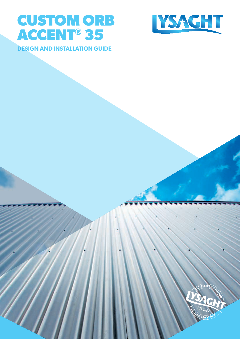



**DESIGN AND INSTALLATION GUIDE**

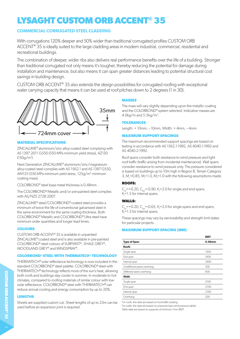# **LYSAGHT CUSTOM ORB ACCENT® 35**

# **COMMERCIAL CORRUGATED STEEL CLADDING**

With corrugations 120% deeper and 50% wider than traditional corrugated profiles CUSTOM ORB ACCENT<sup>®</sup> 35 is ideally suited to the large cladding areas in modern industrial, commercial, residential and recreational buildings.

The combination of deeper, wider ribs also delivers real performance benefits over the life of a building. Stronger than traditional corrugated not only means it's tougher, thereby reducing the potential for damage during installation and maintenance, but also means it can span greater distances leading to potential structural cost savings in building design.

CUSTOM ORB ACCENT® 35 also extends the design possibilities for corrugated roofing with exceptional water carrying capacity that means it can be used at roof pitches down to 2 degrees (1 in 30).



# **MATERIAL SPECIFICATIONS**

ZINCALUME® aluminium/zinc alloy-coated steel complying with AS 1397:2011 G550 (550 MPa minimum yield stress), AZ150 (150g/m2 )

Next Generation ZINCALUME® aluminium/zinc/magnesium alloy-coated steel complies with AS 1562.1 and AS 1397 G550, AM125 (550 MPa minimum yield stress, 125g/m<sup>2</sup> minimum coating mass).

COLORBOND® steel base metal thickness is 0.48mm.

The COLORBOND® Metallic and/or pre-painted steel complies with AS/NZS 2728:2007.

ZINCALUME® steel/COLORBOND® coated steel provides a minimum of twice the life of conventional galvanised steel in the same environment for the same coating thickness. Both COLORBOND® Metallic and COLORBOND® Ultra steel have minimum order quantities and longer lead times.

# **COLOURS**

CUSTOM ORB ACCENT® 35 is available in unpainted ZINCALUME® coated steel and is also available in pre-painted COLORBOND® steel colours of SURFMIST®, SHALE GREY®, WOODLAND GREY® and WINDSPRAY®.

# **COLORBOND® STEEL WITH THERMATECH® TECHNOLOGY**

THERMATECH® solar reflectance technology is now included in the standard COLORBOND® steel palette. COLORBOND® steel with THERMATECH® technology reflects more of the sun's heat, allowing both roofs and buildings stay cooler in summer. In moderate to hot climates, compared to roofing materials of similar colour with low solar reflectance, COLORBOND® steel with THERMATECH® can reduce annual cooling and energy consumption by up to 20%.

# **LENGTHS**

Sheets are supplied custom cut. Sheet lengths of up to 23m can be used before an expansion joint is required.

# **MASSES**

The mass will vary slightly depending upon the metallic coating and the COLORBOND® system selected. Indicative masses are  $4.0$ kg/m and  $5.5$ kg/m<sup>2</sup>.

# **TOLERANCES**

Length: + 10mm, – 10mm, Width: + 4mm, – 4mm

# **MAXIMUM SUPPORT SPACINGS**

The maximum recommended support spacings are based on testing in accordance with AS 1562.1-1992, AS 4040.1-1992 and AS 4040.2-1992.

Roof spans consider both resistance to wind pressure and light roof traffic (traffic arising from incidental maintenance). Wall spans consider resistance to wind pressure only. The pressure considered is based on buildings up to 10m high in Region B, Terrain Category 3, M<sub>s</sub>=0.85, M<sub>i</sub>=1.0, M<sub>t</sub>=1.0 with the following assumptions made:

# **ROOFS:**

 $C_{pi}$  = +0.20,  $C_{pe}$  = -0.90, K<sub>1</sub> = 2.0 for single and end spans,  $K = 1.5$  for internal spans.

# **WALLS:**

 $C_{pi}$  =+0.20,  $C_{pe}$  =-0.65, K<sub>1</sub>=2.0 for single spans and end spans,  $K$ =1.5 for internal spans.

These spacings may vary by serviceability and strength limit states for particular projects.

# **MAXIMUM SUPPORT SPACING (MM)**

|                            | <b>BMT</b> |
|----------------------------|------------|
| <b>Type of Span</b>        | 0.48mm     |
| <b>Roofs</b>               |            |
| Single span                | 1300       |
| End span                   | 1600       |
| Internal span              | 2400       |
| Unstiffened eaves overhang | 200        |
| Stiffened eaves overhang   | 600        |
| <b>Walls</b>               |            |
| Single span                | 2100       |
| End span                   | 2700       |
| Internal span              | 2700       |
| Overhang                   | 200        |

For roofs: the data are based on foot-traffic loading.

For walls: the data are based on pressures (see wind pressure table). Table data are based on supports of minimum 1mm BMT.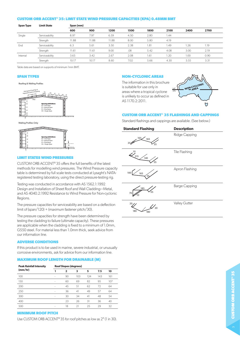#### **CUSTOM ORB ACCENT® 35: LIMIT STATE WIND PRESSURE CAPACITIES (KPA) 0.48MM BMT**

| <b>Span Type</b> | <b>Limit State</b> | Span (mm) |       |       |      |      |      |      |      |  |  |  |  |
|------------------|--------------------|-----------|-------|-------|------|------|------|------|------|--|--|--|--|
|                  |                    | 600       | 900   | 1200  | 1500 | 1800 | 2100 | 2400 | 2700 |  |  |  |  |
| Single           | Serviceability     | 8.97      | 7.97  | 6.59  | 4.50 | 2.80 | .44  |      |      |  |  |  |  |
|                  | Strength           | 11.88     | 11.88 | 11.88 | 8.00 | 5.80 | 4.19 |      |      |  |  |  |  |
| End              | Serviceability     | 6.3       | 5.61  | 3.50  | 2.38 | 1.81 | 49.۱ | i.26 | 1.19 |  |  |  |  |
|                  | Strength           | 11.61     | 11.61 | 9.00  | .08  | 5.42 | 4.08 | 3.00 | 2.19 |  |  |  |  |
| Internal         | Serviceability     | 3.65      | 3.42  | 2.67  | 2.08 | 1.61 | 1.20 | 1.00 | 0.90 |  |  |  |  |
|                  | Strength           | 10.17     | 10.17 | 8.60  | 7.02 | 5.66 | 4.30 | 3.55 | 3.31 |  |  |  |  |

Table data are based on supports of minimum 1mm BMT.

# **SPAN TYPES**

Roofing & Walling Profiles



Walling Profiles Only



#### **LIMIT STATES WIND PRESSURES** 230 230 140 140

CUSTOM ORB ACCENT® 35 offers the full benefits of the latest methods for modelling wind pressures. The Wind Pressure capacity 11 The conducted at Lysaght's NATA-<br>100 table is determined by full scale tests conducted at Lysaght's NATAregistered testing laboratory, using the direct pressure-testing rig. Shaacted at Eybaght<br>Airect pressure testi

Insting was conducted in accordance with AS 1562.1:1992 Design and Installation of Sheet Roof and Wall Cladding—Metal, and AS 4040.2:1992 Resistance to Wind Pressure for Non-cyclonic Barge Regions. TOT TYOTT  $\ddot{\phantom{1}}$ Pressure for Non-

-<br>The pressure capacities for serviceability are based on a deflection limit of (span/120) + (maximum fastener pitch/30). Valley serviceability are based on a c .<br>20

The pressure capacities for strength have been determined by The pressure capacities for strength have been determined by the cladding to failure (ultimate capacity). These pressures resurig the cladding to laithe (unimate capacity). These pressures<br>are applicable when the cladding is fixed to a minimum of 1.0mm, G550 steel. For material less than 1.0mm thick, seek advice from our information line.

#### **ADVERSE CONDITIONS**

If this product is to be used in marine, severe industrial, or unusually corrosive environments, ask for advice from our information line.

#### **MAXIMUM ROOF LENGTH FOR DRAINABLE (M)**

| <b>Peak Rainfall Intensity</b> | <b>Roof Slopes (degrees)</b> |    |     |     |     |     |  |  |  |  |  |  |  |
|--------------------------------|------------------------------|----|-----|-----|-----|-----|--|--|--|--|--|--|--|
| (mm/hr)                        |                              | 2  | з   | 5   | 7.5 | 10  |  |  |  |  |  |  |  |
| 100                            | ۰                            | 90 | 103 | 124 | 143 | 161 |  |  |  |  |  |  |  |
| 150                            | ٠                            | 60 | 69  | 82  | 95  | 107 |  |  |  |  |  |  |  |
| 200                            | ٠                            | 45 | 51  | 62  | 72  | 64  |  |  |  |  |  |  |  |
| 250                            | ٠                            | 36 | 41  | 49  | 57  | 64  |  |  |  |  |  |  |  |
| 300                            | ٠                            | 30 | 34  | 41  | 48  | 54  |  |  |  |  |  |  |  |
| 400                            |                              | 23 | 26  | 31  | 36  | 40  |  |  |  |  |  |  |  |
| 500                            | ٠                            | 18 | 21  | 25  | 29  | 32  |  |  |  |  |  |  |  |

#### **MINIMUM ROOF PITCH**

Use CUSTOM ORB ACCENT® 35 for roof pitches as low as 2° (1 in 30).

# **NON-CYCLONIC AREAS**

The information in this brochure is suitable for use only in areas where a tropical cyclone is unlikely to occur as defined in AS 1170.2:2011.



# **CUSTOM ORB ACCENT® 35 FLASHINGS AND CAPPINGS**

Standard flashings and cappings are available. (See below.)

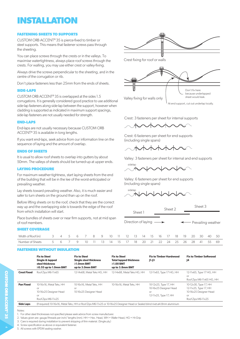# **INSTALLATION**

# **FASTENING SHEETS TO SUPPORTS**

CUSTOM ORB ACCENT® 35 is pierce-fixed to timber or steel supports. This means that fastener screws pass through the sheeting.

You can place screws through the crests or in the valleys. To maximise watertightness, always place roof screws through the crests. For walling, you may use either crest or valley-fixing.

Always drive the screws perpendicular to the sheeting, and in the centre of the corrugation or rib.

Don't place fasteners less than 25mm from the ends of sheets.

# **SIDE-LAPS**

CUSTOM ORB ACCENT® 35 is overlapped at the sides 1.5 corrugations. It is generally considered good practice to use additional side-lap fasteners along side-lap between the support, however when cladding is supported as indicated in maximum support spacings, side-lap fasteners are not usually needed for strength.

# **END-LAPS**

End-laps are not usually necessary because CUSTOM ORB ACCENT® 35 is available in long lengths.

If you want end-laps, seek advice from our information line on the sequence of laying and the amount of overlap.

#### **ENDS OF SHEETS**

It is usual to allow roof sheets to overlap into gutters by about 50mm. The valleys of sheets should be turned-up at upper ends.

### **LAYING PROCEDURE**

For maximum weather-tightness, start laying sheets from the end of the building that will be in the lee of the worst-anticipated or prevailing weather.

Lay sheets toward prevailing weather. Also, it is much easier and safer to turn sheets on the ground than up on the roof.

Before lifting sheets on to the roof, check the way up and the overlapping side is tower from which installation will start.

Place bundles of sheets over or near firm of roof members.

#### **SHEET COVERAGE**

| Width of Roof (m) 3 4 5 6 7 8 9 10 11 12 13 14 15 16 17 18 19 20 30         |  |  |  |  |  |  |  |  |  | , 40 50 |  |
|-----------------------------------------------------------------------------|--|--|--|--|--|--|--|--|--|---------|--|
| Number of Sheets 5 6 7 9 10 11 13 14 15 17 18 20 21 22 24 25 26 28 41 55 69 |  |  |  |  |  |  |  |  |  |         |  |

#### **FASTENERS WITHOUT INSULATION**

|                    | <b>Fix to Steel</b><br>Single & lapped<br>steel thickness<br>$\geq$ 0.55 up to 1.0mm BMT | <b>Fix to Steel</b><br><b>Single steel thickness</b><br>$\geq 1.0$ mm BMT<br>up to 3.0mm BMT | <b>Fix to Steel</b><br><b>Total lapped thickness</b><br>$\geq$ 1.00 BMT<br>up to 3.8mm BMT | <b>Fix to Timber Hardwood</b><br>$JI-J3$                                       | <b>Fix to Timber Softwood</b><br>J4                                                                  |
|--------------------|------------------------------------------------------------------------------------------|----------------------------------------------------------------------------------------------|--------------------------------------------------------------------------------------------|--------------------------------------------------------------------------------|------------------------------------------------------------------------------------------------------|
| <b>Crest Fixed</b> | Roof Zips M6-11x65                                                                       | 12-14x68. Metal Teks HG, HH                                                                  | 12-14x68. Metal Teks HG. HH                                                                | 12-11x65, Type 17 HG, HH                                                       | 12-11x65, Type 17 HG, HH<br>or<br>Roof Zips M6-11x65 HG, HH                                          |
| <b>Pan Fixed</b>   | 10-16x16, Metal Teks, HH<br>or<br>10-16x25 Designer Head<br>or<br>Roof Zips M6-11x25     | 10-16x16, Metal Teks, HH<br><b>or</b><br>10-16x25 Designer Head                              | 10-16x16, Metal Teks, HH                                                                   | 10-12x25, Type 17, HH<br>10-16x25 Designer Head<br>or<br>12-11x25, Type 17, HH | 10-12x30, Type 17, HH<br>12-11x25, Type 17, HH<br>10-16x25 Designer Head<br>or<br>Roof Zips M6-11x25 |

Notes:

1. For other steel thicknesses not specified please seek advice from screw manufacturer.

2. Values given are: gauge/threads per inch/ lengths (mm). HH = Hex. Head, WH = Wafer Head, HG = Hi-Grip

4. Screw specification as above or equivalent fastener.

5. All screws with EPDM sealing washer.



Crest: 3 fasteners per sheet for internal supports

 $\land$   $\land$   $\land$   $\land$   $\land$   $\land$   $\land$ 

meraamg single spans, Crest: 6 fasteners per sheet for end supports (including single spans)

 $\alpha$  shown

Valley: 3 fasteners per sheet for internal and end supports

 $\begin{array}{ccc} \text{sidelap} & & \text{if} & \text{if} & \text{if} & \text{if} & \text{if} & \text{if} & \text{if} & \text{if} & \text{if} & \text{if} & \text{if} & \text{if} & \text{if} & \text{if} & \text{if} & \text{if} & \text{if} & \text{if} & \text{if} & \text{if} & \text{if} & \text{if} & \text{if} & \text{if} & \text{if} & \text{if} & \text{if} & \text{if} & \text{if} & \text{if} & \text{if} & \text{if} & \text{if} & \text{if} &$ sidelap sidelap

(including single spans) Valley: 6 fasteners per sheet for end supports

sidelap<br>I l sidelap sidelap

|                             | ck that they are the correct<br>ards the edge of the roof |   |  |    |  |         |                                       |    |     |    |  | Sheet 2              |    | Sheet 3 |    |    |    |  |  |  |
|-----------------------------|-----------------------------------------------------------|---|--|----|--|---------|---------------------------------------|----|-----|----|--|----------------------|----|---------|----|----|----|--|--|--|
|                             |                                                           |   |  |    |  | Sheet 1 |                                       |    |     |    |  |                      |    |         |    |    |    |  |  |  |
| m supports, not at mid span |                                                           |   |  |    |  |         | Direction of laying $\longrightarrow$ |    |     |    |  | ← Prevailing weather |    |         |    |    |    |  |  |  |
|                             |                                                           | Я |  | 10 |  | 12      | -13                                   | 14 | -15 | 16 |  | 18                   | 19 | 20      | 30 | 40 | 50 |  |  |  |

4

<sup>3.</sup> Care is required during installation to prevent stripping of thin material. (Single ply.)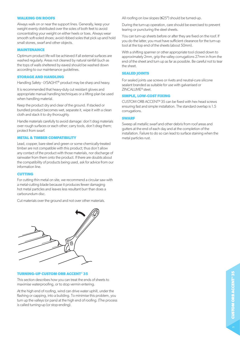#### **WALKING ON ROOFS**

Always walk on or near the support lines. Generally, keep your weight evenly distributed over the soles of both feet to avoid concentrating your weight on either heels or toes. Always wear smooth soft-soled shoes; avoid ribbed soles that pick up and hold small stones, swarf and other objects.

#### **MAINTENANCE**

Optimum product life will be achieved if all external surfaces are washed regularly. Areas not cleaned by natural rainfall (such as the tops of walls sheltered by eaves) should be washed down according to our maintenance guidelines.

# **STORAGE AND HANDLING**

Handling Safety - LYSAGHT® product may be sharp and heavy.

It is recommended that heavy-duty cut resistant gloves and appropriate manual handling techniques or a lifting plan be used when handling material.

Keep the product dry and clear of the ground. If stacked or bundled product becomes wet, separate it, wipe it with a clean cloth and stack it to dry thoroughly.

Handle materials carefully to avoid damage: don't drag materials over rough surfaces or each other; carry tools, don't drag them; protect from swarf.

#### **METAL & TIMBER COMPATIBILITY**

Lead, copper, bare steel and green or some chemically-treated timber are not compatible with this product; thus don't allow any contact of the product with those materials, nor discharge of rainwater from them onto the product. If there are doubts about the compatibility of products being used, ask for advice from our information line.

#### **CUTTING**

For cutting thin metal on site, we recommend a circular saw with a metal-cutting blade because it produces fewer damaging hot metal particles and leaves less resultant burr than does a carborundum disc.

Cut materials over the ground and not over other materials.



#### **TURNING-UP CUSTOM ORB ACCENT® 35**

This section describes how you can treat the ends of sheets to maximise waterproofing, or to stop vermin entering.

At the high end of roofing, wind can drive water uphill, under the flashing or capping, into a building. To minimise this problem, you turn up the valleys (or pans) at the high end of roofing. (The process is called turning-up (or stop-ending).

All roofing on low slopes (≤25°) should be turned-up.

During the turn-up operation, care should be exercised to prevent tearing or puncturing the steel sheets.

You can turn-up sheets before or after they are fixed on the roof. If you do the latter, you must have sufficient clearance for the turn-up tool at the top end of the sheets (about 50mm).

With a shifting spanner or other appropriate tool closed down to approximately 2mm, grip the valley corrugations 27mm in from the end of the sheet and turn up as far as possible. Be careful not to tear the sheet.

#### **SEALED JOINTS**

For sealed joints use screws or rivets and neutral-cure silicone sealant branded as suitable for use with galvanised or ZINCALUME® steel.

#### **SIMPLE, LOW-COST FIXING**

CUSTOM ORB ACCENT® 35 can be fixed with hex head screws ensuring fast and simple installation. The standard overlap is 1.5 corrugations.

#### **SWARF**

Sweep all metallic swarf and other debris from roof areas and gutters at the end of each day and at the completion of the installation. Failure to do so can lead to surface staining when the metal particles rust.